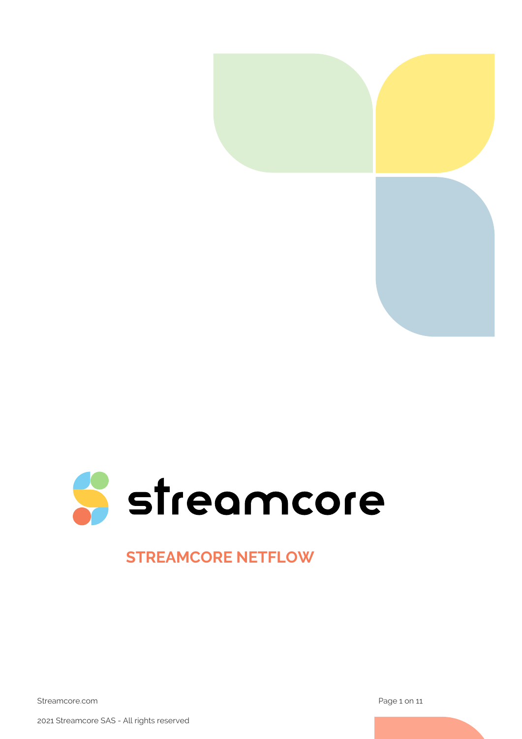



# **STREAMCORE NETFLOW**

Streamcore.com **Page 1 on 11** 

2021 Streamcore SAS - All rights reserved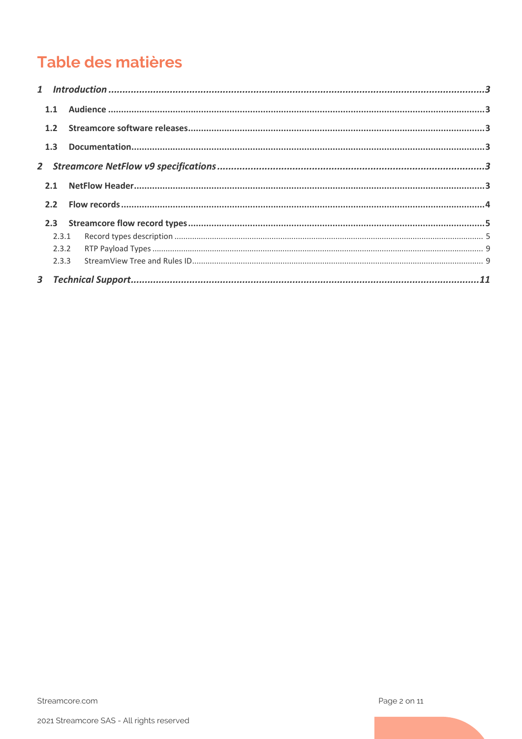# Table des matières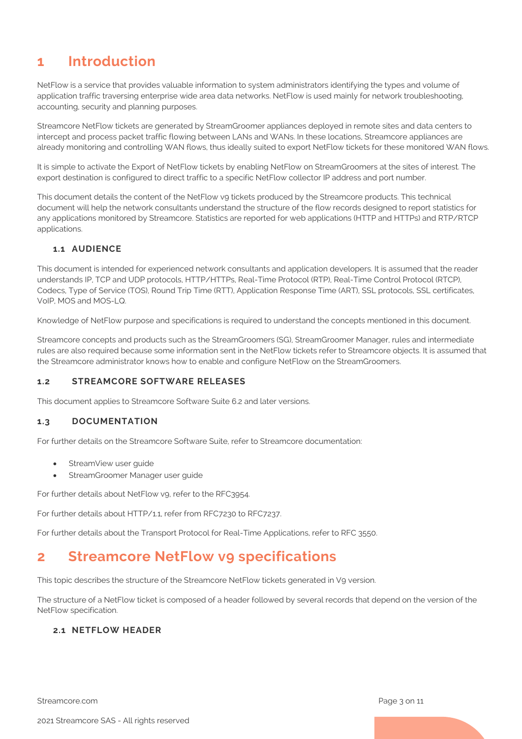# <span id="page-2-0"></span>**1 Introduction**

NetFlow is a service that provides valuable information to system administrators identifying the types and volume of application traffic traversing enterprise wide area data networks. NetFlow is used mainly for network troubleshooting, accounting, security and planning purposes.

Streamcore NetFlow tickets are generated by StreamGroomer appliances deployed in remote sites and data centers to intercept and process packet traffic flowing between LANs and WANs. In these locations, Streamcore appliances are already monitoring and controlling WAN flows, thus ideally suited to export NetFlow tickets for these monitored WAN flows.

It is simple to activate the Export of NetFlow tickets by enabling NetFlow on StreamGroomers at the sites of interest. The export destination is configured to direct traffic to a specific NetFlow collector IP address and port number.

This document details the content of the NetFlow vg tickets produced by the Streamcore products. This technical document will help the network consultants understand the structure of the flow records designed to report statistics for any applications monitored by Streamcore. Statistics are reported for web applications (HTTP and HTTPs) and RTP/RTCP applications.

#### <span id="page-2-1"></span>**1.1 AUDIENCE**

This document is intended for experienced network consultants and application developers. It is assumed that the reader understands IP, TCP and UDP protocols, HTTP/HTTPs, Real-Time Protocol (RTP), Real-Time Control Protocol (RTCP), Codecs, Type of Service (TOS), Round Trip Time (RTT), Application Response Time (ART), SSL protocols, SSL certificates, VoIP, MOS and MOS-LQ.

Knowledge of NetFlow purpose and specifications is required to understand the concepts mentioned in this document.

Streamcore concepts and products such as the StreamGroomers (SG), StreamGroomer Manager, rules and intermediate rules are also required because some information sent in the NetFlow tickets refer to Streamcore objects. It is assumed that the Streamcore administrator knows how to enable and configure NetFlow on the StreamGroomers.

#### <span id="page-2-2"></span>**1.2 STREAMCORE SOFTWARE RELEASES**

This document applies to Streamcore Software Suite 6.2 and later versions.

#### <span id="page-2-3"></span>**1.3 DOCUMENTATION**

For further details on the Streamcore Software Suite, refer to Streamcore documentation:

- StreamView user quide
- StreamGroomer Manager user guide

For further details about NetFlow vg, refer to the RFC3954.

For further details about HTTP/1.1, refer from RFC7230 to RFC7237.

For further details about the Transport Protocol for Real-Time Applications, refer to RFC 3550.

# <span id="page-2-4"></span>**2 Streamcore NetFlow v9 specifications**

This topic describes the structure of the Streamcore NetFlow tickets generated in V9 version.

The structure of a NetFlow ticket is composed of a header followed by several records that depend on the version of the NetFlow specification.

#### <span id="page-2-5"></span>**2.1 NETFLOW HEADER**

Streamcore.com **Page 3 on 11**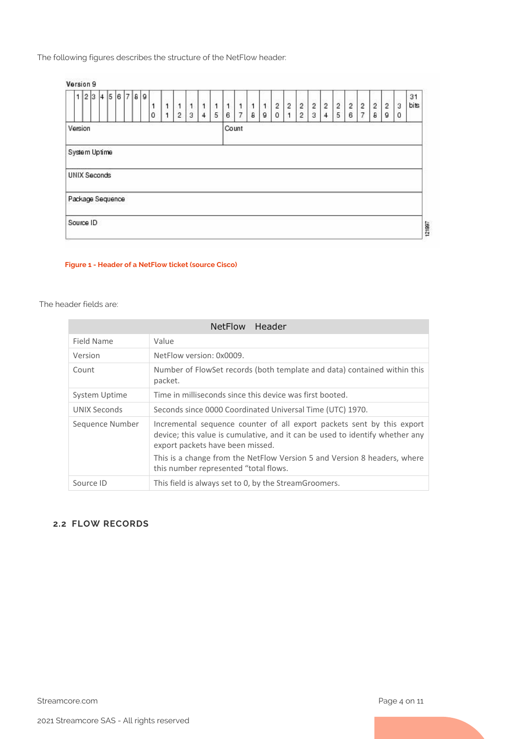The following figures describes the structure of the NetFlow header:

#### Version 9

| 1                   | 2 3 4 |  |  | 56789 | 0 | 1 | 2 | 3 | 1<br>4 | 5 | ۹<br>6 | 1 | 1<br>8 | 1<br>g | $\overline{c}$<br>0 | $\overline{2}$ | $\overline{2}$<br>2 | $\overline{c}$<br>3 | $\overline{2}$<br>4 | on 10 | $\overline{2}$<br>6 | $\overline{2}$<br>$\overline{ }$ | $\overline{2}$<br>$\theta$ | $\overline{c}$<br>$\mathsf g$ | 3<br>$\mathbf 0$ | 31<br>bits |
|---------------------|-------|--|--|-------|---|---|---|---|--------|---|--------|---|--------|--------|---------------------|----------------|---------------------|---------------------|---------------------|-------|---------------------|----------------------------------|----------------------------|-------------------------------|------------------|------------|
| Version             |       |  |  |       |   |   |   |   |        |   | Count  |   |        |        |                     |                |                     |                     |                     |       |                     |                                  |                            |                               |                  |            |
| System Uptime       |       |  |  |       |   |   |   |   |        |   |        |   |        |        |                     |                |                     |                     |                     |       |                     |                                  |                            |                               |                  |            |
| <b>UNIX Seconds</b> |       |  |  |       |   |   |   |   |        |   |        |   |        |        |                     |                |                     |                     |                     |       |                     |                                  |                            |                               |                  |            |
| Package Sequence    |       |  |  |       |   |   |   |   |        |   |        |   |        |        |                     |                |                     |                     |                     |       |                     |                                  |                            |                               |                  |            |
| Source ID           |       |  |  |       |   |   |   |   |        |   |        |   |        |        |                     |                |                     |                     |                     |       |                     |                                  |                            |                               |                  |            |
|                     |       |  |  |       |   |   |   |   |        |   |        |   |        |        |                     |                |                     |                     |                     |       |                     |                                  |                            |                               |                  |            |

#### **Figure 1 - Header of a NetFlow ticket (source Cisco)**

#### The header fields are:

|                 | Header<br><b>NetFlow</b>                                                                                                                                                                   |
|-----------------|--------------------------------------------------------------------------------------------------------------------------------------------------------------------------------------------|
| Field Name      | Value                                                                                                                                                                                      |
| Version         | NetFlow version: 0x0009.                                                                                                                                                                   |
| Count           | Number of FlowSet records (both template and data) contained within this<br>packet.                                                                                                        |
| System Uptime   | Time in milliseconds since this device was first booted.                                                                                                                                   |
| UNIX Seconds    | Seconds since 0000 Coordinated Universal Time (UTC) 1970.                                                                                                                                  |
| Sequence Number | Incremental sequence counter of all export packets sent by this export<br>device; this value is cumulative, and it can be used to identify whether any<br>export packets have been missed. |
|                 | This is a change from the NetFlow Version 5 and Version 8 headers, where<br>this number represented "total flows.                                                                          |
| Source ID       | This field is always set to 0, by the StreamGroomers.                                                                                                                                      |

#### <span id="page-3-0"></span>**2.2 FLOW RECORDS**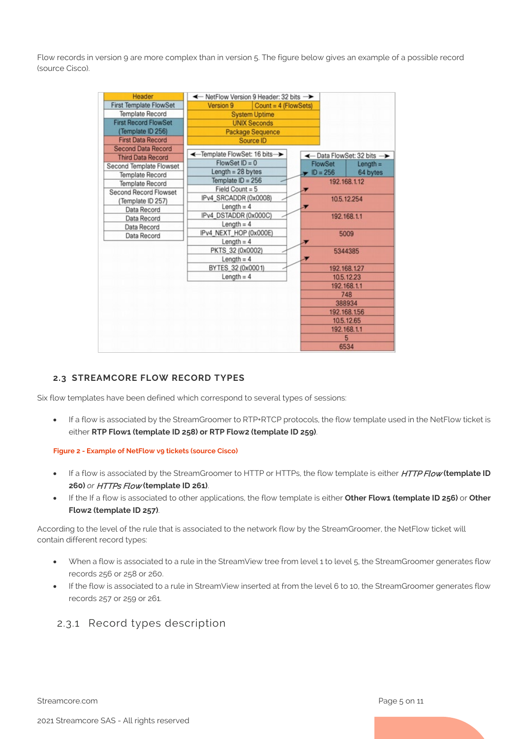Flow records in version 9 are more complex than in version 5. The figure below gives an example of a possible record (source Cisco).

| Header                        | ← NetFlow Version 9 Header: 32 bits → |                                       |                         |              |  |  |  |
|-------------------------------|---------------------------------------|---------------------------------------|-------------------------|--------------|--|--|--|
| <b>First Template FlowSet</b> | Version 9                             | Count = $4$ (FlowSets)                |                         |              |  |  |  |
| <b>Template Record</b>        |                                       | <b>System Uptime</b>                  |                         |              |  |  |  |
| <b>First Record FlowSet</b>   |                                       | <b>UNIX Seconds</b>                   |                         |              |  |  |  |
| (Template ID 256)             |                                       | <b>Package Sequence</b>               |                         |              |  |  |  |
| <b>First Data Record</b>      |                                       | Source ID                             |                         |              |  |  |  |
| Second Data Record            |                                       |                                       |                         |              |  |  |  |
| <b>Third Data Record</b>      | ←Template FlowSet: 16 bits            |                                       | ← Data FlowSet: 32 bits |              |  |  |  |
| Second Template Flowset       | FlowSet $ID = 0$                      |                                       | FlowSet                 | $Length =$   |  |  |  |
| <b>Template Record</b>        | Length $= 28$ bytes                   |                                       | $\blacksquare$ ID = 256 | 64 bytes     |  |  |  |
| <b>Template Record</b>        | Template $ID = 256$                   |                                       |                         | 192.168.1.12 |  |  |  |
| Second Record Flowset         | Field Count = $5$                     |                                       |                         |              |  |  |  |
| (Template ID 257)             | IPv4_SRCADDR (0x0008)                 |                                       |                         | 10.5.12.254  |  |  |  |
| Data Record                   |                                       | Length = $4$<br>IPv4_DSTADDR (0x000C) |                         |              |  |  |  |
| Data Record                   |                                       |                                       |                         | 192.168.1.1  |  |  |  |
| Data Record                   | Length = $4$                          |                                       |                         |              |  |  |  |
| Data Record                   | IPv4_NEXT_HOP (0x000E)                |                                       | 5009                    |              |  |  |  |
|                               | Length = $4$                          |                                       |                         |              |  |  |  |
|                               | PKTS_32 (0x0002)                      |                                       |                         | 5344385      |  |  |  |
|                               | Length = $4$                          |                                       |                         |              |  |  |  |
|                               | BYTES 32 (0x0001)                     |                                       |                         | 192.168.1.27 |  |  |  |
|                               | Length = $4$                          |                                       |                         | 10.5.12.23   |  |  |  |
|                               |                                       |                                       |                         | 192.168.1.1  |  |  |  |
|                               |                                       |                                       |                         | 748          |  |  |  |
|                               |                                       |                                       |                         | 388934       |  |  |  |
|                               |                                       |                                       |                         | 192.168.1.56 |  |  |  |
|                               |                                       |                                       |                         | 10.5.12.65   |  |  |  |
|                               |                                       |                                       |                         | 192.168.1.1  |  |  |  |
|                               |                                       |                                       |                         | 5            |  |  |  |
|                               |                                       |                                       |                         | 6534         |  |  |  |

#### <span id="page-4-0"></span>**2.3 STREAMCORE FLOW RECORD TYPES**

Six flow templates have been defined which correspond to several types of sessions:

• If a flow is associated by the StreamGroomer to RTP+RTCP protocols, the flow template used in the NetFlow ticket is either **RTP Flow1 (template ID 258) or RTP Flow2 (template ID 259)**.

#### **Figure 2 - Example of NetFlow v9 tickets (source Cisco)**

- If a flow is associated by the StreamGroomer to HTTP or HTTPs, the flow template is either HTTP Flow **(template ID 260)** *or* HTTPs Flow **(template ID 261)**.
- If the If a flow is associated to other applications, the flow template is either **Other Flow1 (template ID 256)** or **Other Flow2 (template ID 257)**.

According to the level of the rule that is associated to the network flow by the StreamGroomer, the NetFlow ticket will contain different record types:

- When a flow is associated to a rule in the StreamView tree from level 1 to level 5, the StreamGroomer generates flow records 256 or 258 or 260.
- If the flow is associated to a rule in StreamView inserted at from the level 6 to 10, the StreamGroomer generates flow records 257 or 259 or 261.

#### <span id="page-4-1"></span>2.3.1 Record types description

Streamcore.com **Page 5 on 11**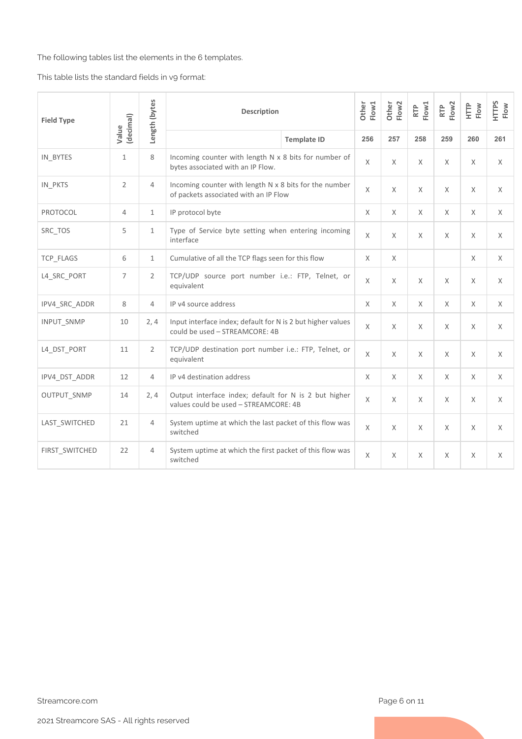The following tables list the elements in the 6 templates.

This table lists the standard fields in v9 format:

| <b>Field Type</b> | (decimal)      | Length (bytes  | <b>Description</b>                                                                              | Other<br>Flow1     | Flow <sub>2</sub><br>Other | Flow1<br>RTP | RTP<br>Flow2 | Ê<br>Flow | HTTPS<br>Flow |          |
|-------------------|----------------|----------------|-------------------------------------------------------------------------------------------------|--------------------|----------------------------|--------------|--------------|-----------|---------------|----------|
|                   | Value          |                |                                                                                                 | <b>Template ID</b> | 256                        | 257          | 258          | 259       | 260           | 261      |
| IN_BYTES          | $\mathbf{1}$   | 8              | Incoming counter with length N x 8 bits for number of<br>bytes associated with an IP Flow.      |                    | X                          | X            | X            | $\times$  | X             | X        |
| IN_PKTS           | $\overline{2}$ | 4              | Incoming counter with length N x 8 bits for the number<br>of packets associated with an IP Flow |                    | $\times$                   | $\times$     | X            | $\times$  | $\times$      | X        |
| PROTOCOL          | $\overline{4}$ | $\mathbf{1}$   | IP protocol byte                                                                                |                    | X                          | $\times$     | X            | X         | X             | $\times$ |
| SRC_TOS           | 5              | $\mathbf{1}$   | Type of Service byte setting when entering incoming<br>interface                                |                    | $\times$                   | $\times$     | X            | $\times$  | $\times$      | $\times$ |
| TCP_FLAGS         | 6              | $\mathbf{1}$   | Cumulative of all the TCP flags seen for this flow                                              |                    | X                          | X            |              |           | $\times$      | $\times$ |
| L4_SRC_PORT       | 7              | $\overline{2}$ | TCP/UDP source port number i.e.: FTP, Telnet, or<br>equivalent                                  |                    | $\times$                   | X            | X            | $\times$  | X             | $\times$ |
| IPV4 SRC ADDR     | 8              | 4              | IP v4 source address                                                                            |                    | X                          | $\times$     | X            | $\times$  | $\times$      | $\times$ |
| <b>INPUT SNMP</b> | 10             | 2, 4           | Input interface index; default for N is 2 but higher values<br>could be used - STREAMCORE: 4B   |                    | $\chi$                     | $\times$     | X            | $\times$  | $\times$      | $\times$ |
| L4_DST_PORT       | 11             | $\overline{2}$ | TCP/UDP destination port number i.e.: FTP, Telnet, or<br>equivalent                             |                    | $\chi$                     | $\times$     | X            | $\times$  | $\times$      | $\chi$   |
| IPV4 DST ADDR     | 12             | $\overline{4}$ | IP v4 destination address                                                                       |                    | $\times$                   | $\times$     | X            | $\chi$    | $\times$      | $\chi$   |
| OUTPUT_SNMP       | 14             | 2,4            | Output interface index; default for N is 2 but higher<br>values could be used - STREAMCORE: 4B  |                    | $\chi$                     | $\times$     | $\times$     | $\chi$    | $\times$      | $\times$ |
| LAST SWITCHED     | 21             | 4              | System uptime at which the last packet of this flow was<br>switched                             |                    | X                          | X            | $\times$     | $\times$  | X             | $\chi$   |
| FIRST_SWITCHED    | 22             | 4              | System uptime at which the first packet of this flow was<br>switched                            |                    | $\chi$                     | X            | X            | $\times$  | X             | $\times$ |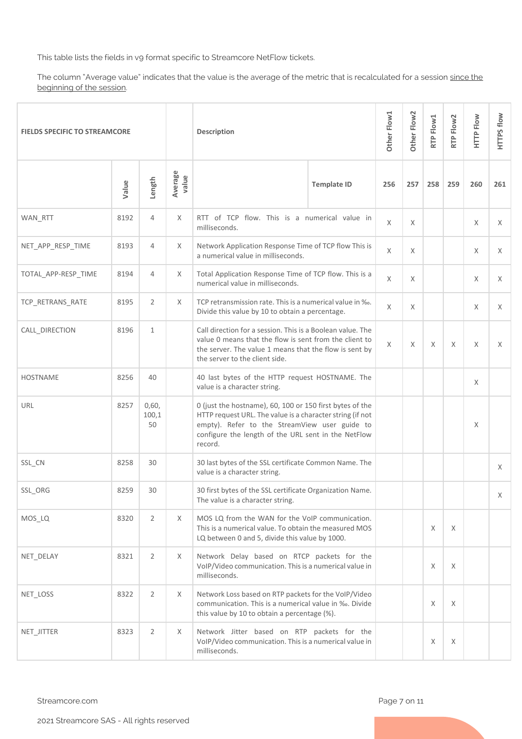This table lists the fields in v9 format specific to Streamcore NetFlow tickets.

The column "Average value" indicates that the value is the average of the metric that is recalculated for a session since the beginning of the session.

| <b>FIELDS SPECIFIC TO STREAMCORE</b> |       |                      |                  | <b>Description</b>                                                                                                                                                                                                                       |   |          | Other Flow2 | RTP Flow1 | RTP Flow2 | <b>HTTP Flow</b> | HTTPS flow |
|--------------------------------------|-------|----------------------|------------------|------------------------------------------------------------------------------------------------------------------------------------------------------------------------------------------------------------------------------------------|---|----------|-------------|-----------|-----------|------------------|------------|
|                                      | Value | Length               | Average<br>value | <b>Template ID</b>                                                                                                                                                                                                                       |   |          | 257         | 258       | 259       | 260              | 261        |
| WAN RTT                              | 8192  | $\overline{4}$       | X                | RTT of TCP flow. This is a numerical value in<br>milliseconds.                                                                                                                                                                           |   | $\times$ | X           |           |           | X                | $\times$   |
| NET_APP_RESP_TIME                    | 8193  | 4                    | X                | Network Application Response Time of TCP flow This is<br>a numerical value in milliseconds.                                                                                                                                              |   | $\times$ | X           |           |           | X                | X          |
| TOTAL_APP-RESP_TIME                  | 8194  | 4                    | Χ                | Total Application Response Time of TCP flow. This is a<br>numerical value in milliseconds.                                                                                                                                               | X | X        |             |           | X         | X                |            |
| TCP RETRANS RATE                     | 8195  | 2                    | X                | TCP retransmission rate. This is a numerical value in %.<br>Divide this value by 10 to obtain a percentage.                                                                                                                              |   | $\times$ | X           |           |           | X                | $\times$   |
| CALL_DIRECTION                       | 8196  | $\mathbf{1}$         |                  | Call direction for a session. This is a Boolean value. The<br>value 0 means that the flow is sent from the client to<br>the server. The value 1 means that the flow is sent by<br>the server to the client side.                         | X | X        | X           | X         | X         | X                |            |
| <b>HOSTNAME</b>                      | 8256  | 40                   |                  | 40 last bytes of the HTTP request HOSTNAME. The<br>value is a character string.                                                                                                                                                          |   |          |             |           | X         |                  |            |
| URL                                  | 8257  | 0,60,<br>100,1<br>50 |                  | 0 (just the hostname), 60, 100 or 150 first bytes of the<br>HTTP request URL. The value is a character string (if not<br>empty). Refer to the StreamView user guide to<br>configure the length of the URL sent in the NetFlow<br>record. |   |          |             |           | X         |                  |            |
| SSL_CN                               | 8258  | 30                   |                  | 30 last bytes of the SSL certificate Common Name. The<br>value is a character string.                                                                                                                                                    |   |          |             |           |           |                  | X          |
| SSL_ORG                              | 8259  | 30                   |                  | 30 first bytes of the SSL certificate Organization Name.<br>The value is a character string.                                                                                                                                             |   |          |             |           |           |                  | X          |
| MOS_LQ                               | 8320  | $\overline{2}$       | X                | MOS LQ from the WAN for the VoIP communication.<br>This is a numerical value. To obtain the measured MOS<br>LQ between 0 and 5, divide this value by 1000.                                                                               |   |          |             | X         | Χ         |                  |            |
| NET_DELAY                            | 8321  | $\overline{2}$       | X                | Network Delay based on RTCP packets for the<br>VoIP/Video communication. This is a numerical value in<br>milliseconds.                                                                                                                   |   |          | X           | Χ         |           |                  |            |
| NET_LOSS                             | 8322  | $\overline{2}$       | Χ                | Network Loss based on RTP packets for the VoIP/Video<br>communication. This is a numerical value in ‰. Divide<br>this value by 10 to obtain a percentage (%).                                                                            |   |          |             | X         | Χ         |                  |            |
| NET_JITTER                           | 8323  | $\overline{2}$       | Χ                | Network Jitter based on RTP packets for the<br>VoIP/Video communication. This is a numerical value in<br>milliseconds.                                                                                                                   |   |          |             | X         | Χ         |                  |            |

Streamcore.com **Page 7 on 11**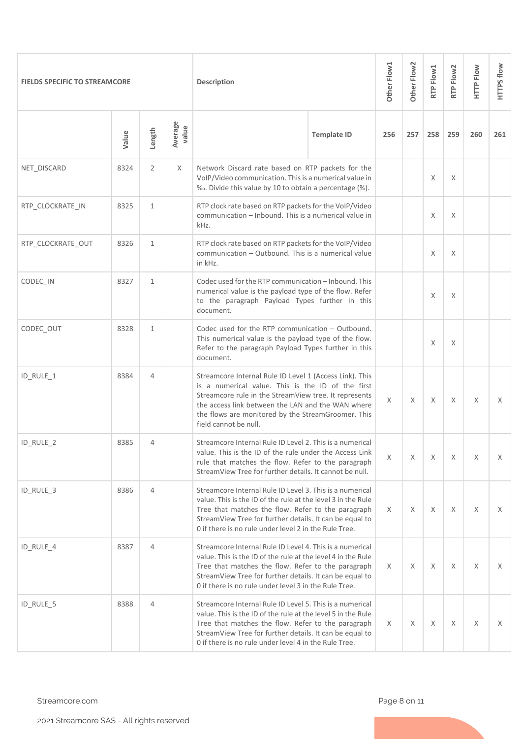| <b>FIELDS SPECIFIC TO STREAMCORE</b> |       |                |                  | <b>Description</b>                                                                                                                                                                                                                                                                                        |          |     | Other Flow2 | RTP Flow1 | RTP Flow2 | HTTP Flow | HTTPS flow |
|--------------------------------------|-------|----------------|------------------|-----------------------------------------------------------------------------------------------------------------------------------------------------------------------------------------------------------------------------------------------------------------------------------------------------------|----------|-----|-------------|-----------|-----------|-----------|------------|
|                                      | Value | Length         | Average<br>value |                                                                                                                                                                                                                                                                                                           | 256      | 257 | 258         | 259       | 260       | 261       |            |
| NET_DISCARD                          | 8324  | $\overline{2}$ | X                | Network Discard rate based on RTP packets for the<br>VoIP/Video communication. This is a numerical value in<br>%. Divide this value by 10 to obtain a percentage (%).                                                                                                                                     |          |     | X           | X         |           |           |            |
| RTP_CLOCKRATE_IN                     | 8325  | $\mathbf{1}$   |                  | RTP clock rate based on RTP packets for the VoIP/Video<br>communication - Inbound. This is a numerical value in<br>kHz.                                                                                                                                                                                   |          |     |             | X         | X         |           |            |
| RTP_CLOCKRATE_OUT                    | 8326  | $\mathbf{1}$   |                  | RTP clock rate based on RTP packets for the VoIP/Video<br>communication - Outbound. This is a numerical value<br>in kHz.                                                                                                                                                                                  |          |     | X           | Χ         |           |           |            |
| CODEC IN                             | 8327  | $\mathbf{1}$   |                  | Codec used for the RTP communication - Inbound. This<br>numerical value is the payload type of the flow. Refer<br>to the paragraph Payload Types further in this<br>document.                                                                                                                             |          |     | X           | X         |           |           |            |
| CODEC_OUT                            | 8328  | $\mathbf{1}$   |                  | Codec used for the RTP communication - Outbound.<br>This numerical value is the payload type of the flow.<br>Refer to the paragraph Payload Types further in this<br>document.                                                                                                                            |          |     | X           | X         |           |           |            |
| ID_RULE_1                            | 8384  | 4              |                  | Streamcore Internal Rule ID Level 1 (Access Link). This<br>is a numerical value. This is the ID of the first<br>Streamcore rule in the StreamView tree. It represents<br>the access link between the LAN and the WAN where<br>the flows are monitored by the StreamGroomer. This<br>field cannot be null. | X        | X   | X           | X         | X         | X         |            |
| ID_RULE_2                            | 8385  | 4              |                  | Streamcore Internal Rule ID Level 2. This is a numerical<br>value. This is the ID of the rule under the Access Link<br>rule that matches the flow. Refer to the paragraph<br>StreamView Tree for further details. It cannot be null.                                                                      |          | X   | X           | X         | X         | X         | X.         |
| ID_RULE_3                            | 8386  | 4              |                  | Streamcore Internal Rule ID Level 3. This is a numerical<br>value. This is the ID of the rule at the level 3 in the Rule<br>Tree that matches the flow. Refer to the paragraph<br>StreamView Tree for further details. It can be equal to<br>0 if there is no rule under level 2 in the Rule Tree.        | X        | X   | X           | X         | X         | X         |            |
| ID_RULE_4                            | 8387  | 4              |                  | Streamcore Internal Rule ID Level 4. This is a numerical<br>value. This is the ID of the rule at the level 4 in the Rule<br>Tree that matches the flow. Refer to the paragraph<br>StreamView Tree for further details. It can be equal to<br>0 if there is no rule under level 3 in the Rule Tree.        | $\times$ | X   | X           | X         | $\times$  | X.        |            |
| ID_RULE_5                            | 8388  | $\overline{4}$ |                  | Streamcore Internal Rule ID Level 5. This is a numerical<br>value. This is the ID of the rule at the level 5 in the Rule<br>Tree that matches the flow. Refer to the paragraph<br>StreamView Tree for further details. It can be equal to<br>0 if there is no rule under level 4 in the Rule Tree.        |          |     | X           | Χ         | X         | Χ         | X          |

Streamcore.com **Page 8 on 11**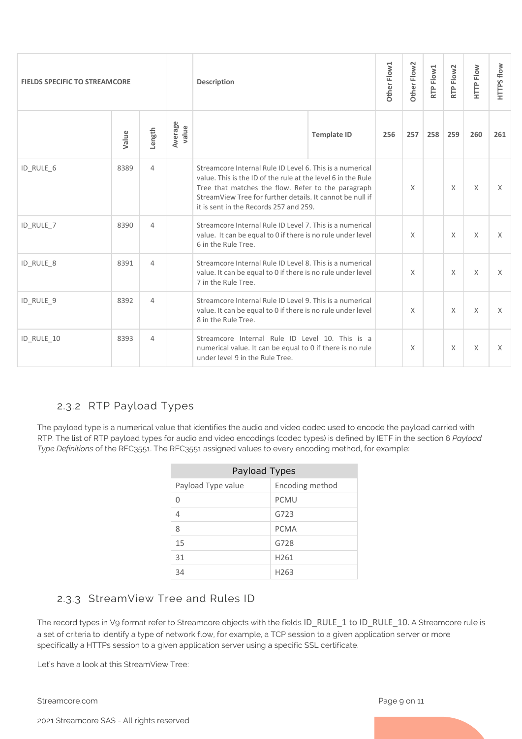| <b>FIELDS SPECIFIC TO STREAMCORE</b> |       |                |                  | <b>Description</b>                                                                                                                                                                                                                                                                    |  |     | Other Flow <sub>2</sub> | RTP Flow1 | RTP Flow2 | HTTP Flow | HTTPS flow |
|--------------------------------------|-------|----------------|------------------|---------------------------------------------------------------------------------------------------------------------------------------------------------------------------------------------------------------------------------------------------------------------------------------|--|-----|-------------------------|-----------|-----------|-----------|------------|
|                                      | Value | Length         | Average<br>value | <b>Template ID</b>                                                                                                                                                                                                                                                                    |  | 256 | 257                     | 258       | 259       | 260       | 261        |
| ID_RULE_6                            | 8389  | 4              |                  | Streamcore Internal Rule ID Level 6. This is a numerical<br>value. This is the ID of the rule at the level 6 in the Rule<br>Tree that matches the flow. Refer to the paragraph<br>StreamView Tree for further details. It cannot be null if<br>it is sent in the Records 257 and 259. |  | X   |                         | $\chi$    | $\chi$    | $\times$  |            |
| ID_RULE_7                            | 8390  | $\overline{4}$ |                  | Streamcore Internal Rule ID Level 7. This is a numerical<br>value. It can be equal to 0 if there is no rule under level<br>6 in the Rule Tree.                                                                                                                                        |  |     | X                       |           | $\chi$    | $\chi$    | $\times$   |
| ID_RULE_8                            | 8391  | 4              |                  | Streamcore Internal Rule ID Level 8. This is a numerical<br>value. It can be equal to 0 if there is no rule under level<br>7 in the Rule Tree.                                                                                                                                        |  |     | X                       |           | X         | X         | X          |
| ID RULE 9                            | 8392  | 4              |                  | Streamcore Internal Rule ID Level 9. This is a numerical<br>value. It can be equal to 0 if there is no rule under level<br>8 in the Rule Tree.                                                                                                                                        |  |     | X                       |           | $\chi$    | $\chi$    | $\times$   |
| ID RULE 10                           | 8393  | 4              |                  | Streamcore Internal Rule ID Level 10. This is a<br>numerical value. It can be equal to 0 if there is no rule<br>under level 9 in the Rule Tree.                                                                                                                                       |  | X   |                         | X         | X         | X         |            |

## <span id="page-8-0"></span>2.3.2 RTP Payload Types

The payload type is a numerical value that identifies the audio and video codec used to encode the payload carried with RTP. The list of RTP payload types for audio and video encodings (codec types) is defined by IETF in the section 6 *Payload Type Definitions* of the RFC3551. The RFC3551 assigned values to every encoding method, for example:

| Payload Types      |                  |  |  |  |  |  |  |  |  |  |  |
|--------------------|------------------|--|--|--|--|--|--|--|--|--|--|
| Payload Type value | Encoding method  |  |  |  |  |  |  |  |  |  |  |
| U                  | <b>PCMU</b>      |  |  |  |  |  |  |  |  |  |  |
| 4                  | G723             |  |  |  |  |  |  |  |  |  |  |
| 8                  | <b>PCMA</b>      |  |  |  |  |  |  |  |  |  |  |
| 15                 | G728             |  |  |  |  |  |  |  |  |  |  |
| 31                 | H <sub>261</sub> |  |  |  |  |  |  |  |  |  |  |
| 34                 | H <sub>263</sub> |  |  |  |  |  |  |  |  |  |  |

## <span id="page-8-1"></span>2.3.3 StreamView Tree and Rules ID

The record types in V9 format refer to Streamcore objects with the fields ID\_RULE\_1 to ID\_RULE\_10. A Streamcore rule is a set of criteria to identify a type of network flow, for example, a TCP session to a given application server or more specifically a HTTPs session to a given application server using a specific SSL certificate.

Let's have a look at this StreamView Tree:

Streamcore.com **Page 9 on 11** 

2021 Streamcore SAS - All rights reserved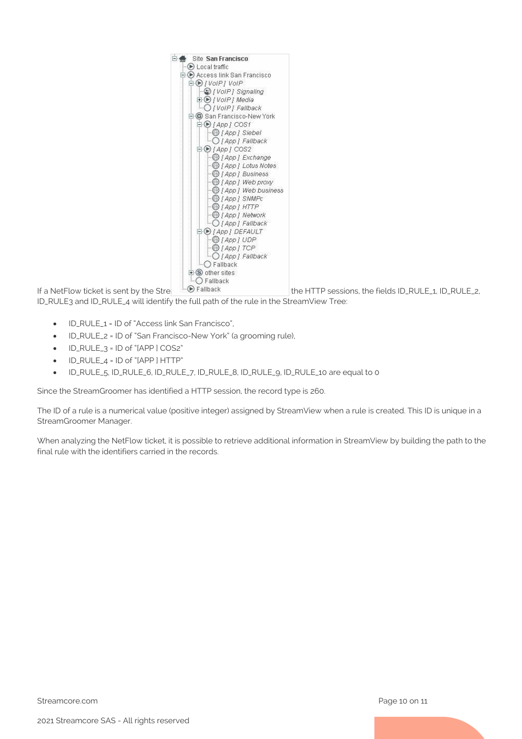

If a NetFlow ticket is sent by the Stream Groomer of San Francisco for the HTTP sessions, the fields ID\_RULE\_1, ID\_RULE\_2,

ID\_RULE3 and ID\_RULE\_4 will identify the full path of the rule in the StreamView Tree:

- ID\_RULE\_1 = ID of "Access link San Francisco",
- ID RULE 2 = ID of "San Francisco-New York" (a grooming rule),
- ID\_RULE\_3 = ID of "[APP ] COS2"
- ID\_RULE\_4 = ID of "[APP ] HTTP"
- ID\_RULE\_5, ID\_RULE\_6, ID\_RULE\_7, ID\_RULE\_8, ID\_RULE\_9, ID\_RULE\_10 are equal to 0

Since the StreamGroomer has identified a HTTP session, the record type is 260.

The ID of a rule is a numerical value (positive integer) assigned by StreamView when a rule is created. This ID is unique in a StreamGroomer Manager.

When analyzing the NetFlow ticket, it is possible to retrieve additional information in StreamView by building the path to the final rule with the identifiers carried in the records.